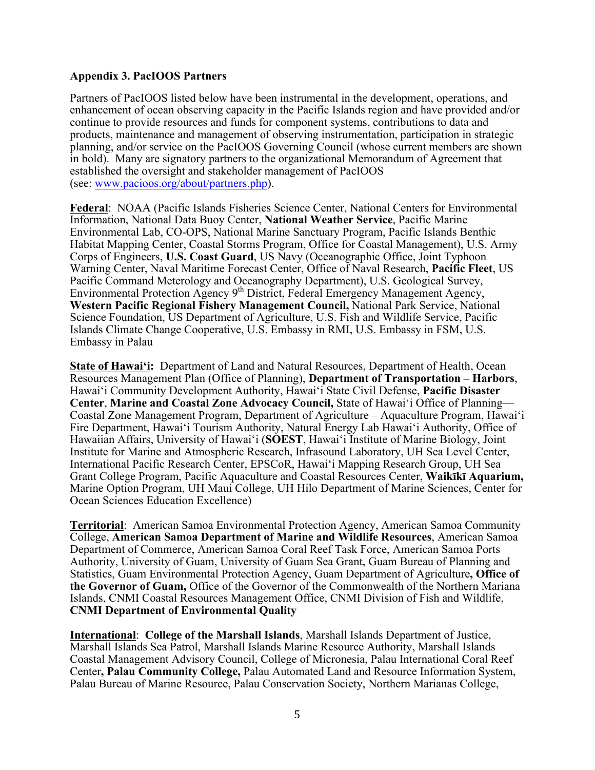## **Appendix 3. PacIOOS Partners**

Partners of PacIOOS listed below have been instrumental in the development, operations, and enhancement of ocean observing capacity in the Pacific Islands region and have provided and/or continue to provide resources and funds for component systems, contributions to data and products, maintenance and management of observing instrumentation, participation in strategic planning, and/or service on the PacIOOS Governing Council (whose current members are shown in bold). Many are signatory partners to the organizational Memorandum of Agreement that established the oversight and stakeholder management of PacIOOS (see: www.pacioos.org/about/partners.php).

**Federal**: NOAA (Pacific Islands Fisheries Science Center, National Centers for Environmental Information, National Data Buoy Center, **National Weather Service**, Pacific Marine Environmental Lab, CO-OPS, National Marine Sanctuary Program, Pacific Islands Benthic Habitat Mapping Center, Coastal Storms Program, Office for Coastal Management), U.S. Army Corps of Engineers, **U.S. Coast Guard**, US Navy (Oceanographic Office, Joint Typhoon Warning Center, Naval Maritime Forecast Center, Office of Naval Research, **Pacific Fleet**, US Pacific Command Meterology and Oceanography Department), U.S. Geological Survey, Environmental Protection Agency 9th District, Federal Emergency Management Agency, **Western Pacific Regional Fishery Management Council,** National Park Service, National Science Foundation, US Department of Agriculture, U.S. Fish and Wildlife Service, Pacific Islands Climate Change Cooperative, U.S. Embassy in RMI, U.S. Embassy in FSM, U.S. Embassy in Palau

**State of Hawaiʻi:** Department of Land and Natural Resources, Department of Health, Ocean Resources Management Plan (Office of Planning), **Department of Transportation – Harbors**, Hawaiʻi Community Development Authority, Hawai'i State Civil Defense, **Pacific Disaster Center**, **Marine and Coastal Zone Advocacy Council,** State of Hawaiʻi Office of Planning— Coastal Zone Management Program, Department of Agriculture – Aquaculture Program, Hawai'i Fire Department, Hawai'i Tourism Authority, Natural Energy Lab Hawaiʻi Authority, Office of Hawaiian Affairs, University of Hawai'i (**SOEST**, Hawai'i Institute of Marine Biology, Joint Institute for Marine and Atmospheric Research, Infrasound Laboratory, UH Sea Level Center, International Pacific Research Center, EPSCoR, Hawaiʻi Mapping Research Group, UH Sea Grant College Program, Pacific Aquaculture and Coastal Resources Center, **Waikīkī Aquarium,**  Marine Option Program, UH Maui College, UH Hilo Department of Marine Sciences, Center for Ocean Sciences Education Excellence)

**Territorial**: American Samoa Environmental Protection Agency, American Samoa Community College, **American Samoa Department of Marine and Wildlife Resources**, American Samoa Department of Commerce, American Samoa Coral Reef Task Force, American Samoa Ports Authority, University of Guam, University of Guam Sea Grant, Guam Bureau of Planning and Statistics, Guam Environmental Protection Agency, Guam Department of Agriculture**, Office of the Governor of Guam,** Office of the Governor of the Commonwealth of the Northern Mariana Islands, CNMI Coastal Resources Management Office, CNMI Division of Fish and Wildlife, **CNMI Department of Environmental Quality**

**International**: **College of the Marshall Islands**, Marshall Islands Department of Justice, Marshall Islands Sea Patrol, Marshall Islands Marine Resource Authority, Marshall Islands Coastal Management Advisory Council, College of Micronesia, Palau International Coral Reef Center**, Palau Community College,** Palau Automated Land and Resource Information System, Palau Bureau of Marine Resource, Palau Conservation Society, Northern Marianas College,